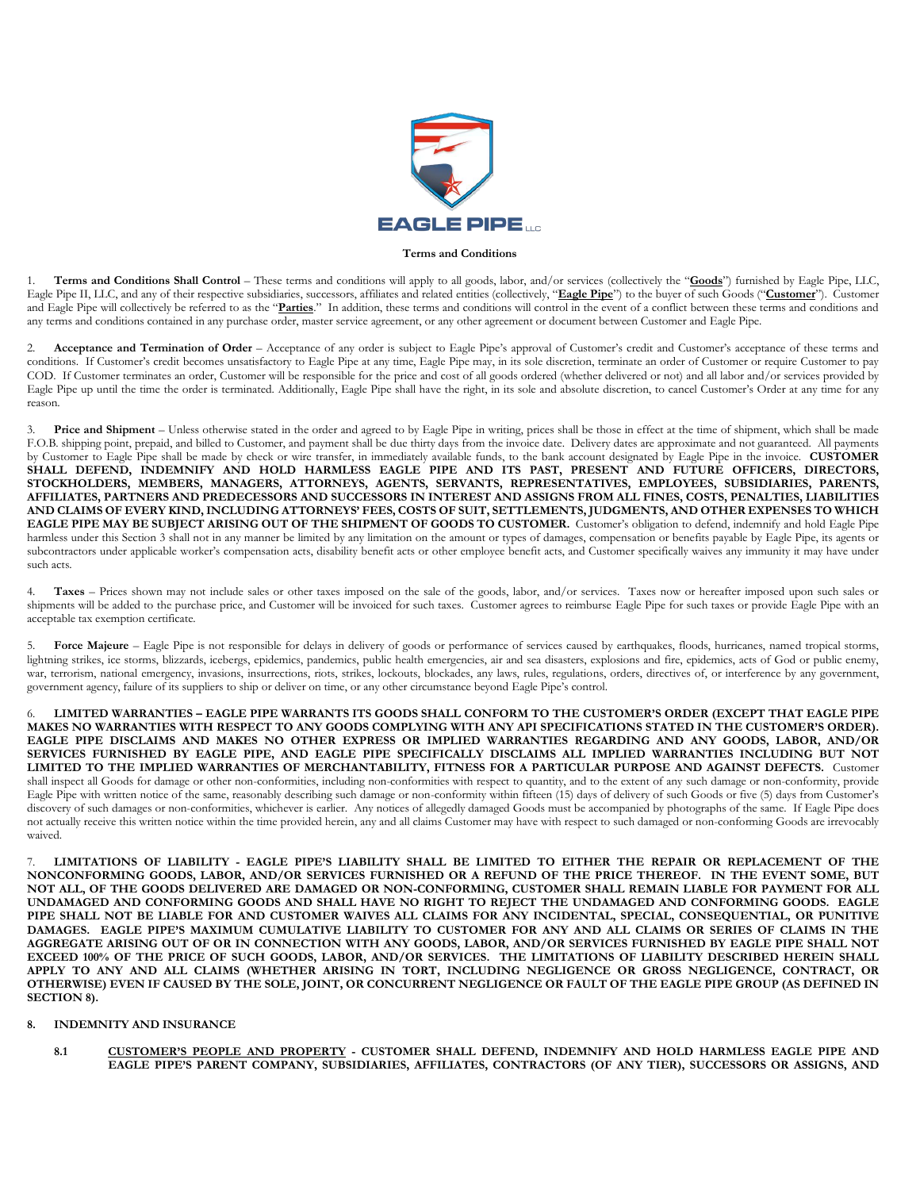

## **Terms and Conditions**

1. **Terms and Conditions Shall Control** – These terms and conditions will apply to all goods, labor, and/or services (collectively the "**Goods**") furnished by Eagle Pipe, LLC, Eagle Pipe II, LLC, and any of their respective subsidiaries, successors, affiliates and related entities (collectively, "**Eagle Pipe**") to the buyer of such Goods ("**Customer**"). Customer and Eagle Pipe will collectively be referred to as the "Parties." In addition, these terms and conditions will control in the event of a conflict between these terms and conditions and any terms and conditions contained in any purchase order, master service agreement, or any other agreement or document between Customer and Eagle Pipe.

2. **Acceptance and Termination of Order** – Acceptance of any order is subject to Eagle Pipe's approval of Customer's credit and Customer's acceptance of these terms and conditions. If Customer's credit becomes unsatisfactory to Eagle Pipe at any time, Eagle Pipe may, in its sole discretion, terminate an order of Customer or require Customer to pay COD. If Customer terminates an order, Customer will be responsible for the price and cost of all goods ordered (whether delivered or not) and all labor and/or services provided by Eagle Pipe up until the time the order is terminated. Additionally, Eagle Pipe shall have the right, in its sole and absolute discretion, to cancel Customer's Order at any time for any reason.

3. **Price and Shipment** – Unless otherwise stated in the order and agreed to by Eagle Pipe in writing, prices shall be those in effect at the time of shipment, which shall be made F.O.B. shipping point, prepaid, and billed to Customer, and payment shall be due thirty days from the invoice date. Delivery dates are approximate and not guaranteed. All payments by Customer to Eagle Pipe shall be made by check or wire transfer, in immediately available funds, to the bank account designated by Eagle Pipe in the invoice. **CUSTOMER SHALL DEFEND, INDEMNIFY AND HOLD HARMLESS EAGLE PIPE AND ITS PAST, PRESENT AND FUTURE OFFICERS, DIRECTORS, STOCKHOLDERS, MEMBERS, MANAGERS, ATTORNEYS, AGENTS, SERVANTS, REPRESENTATIVES, EMPLOYEES, SUBSIDIARIES, PARENTS,** AFFILIATES, PARTNERS AND PREDECESSORS AND SUCCESSORS IN INTEREST AND ASSIGNS FROM ALL FINES, COSTS, PENALTIES, LIABILITIES AND CLAIMS OF EVERY KIND, INCLUDING ATTORNEYS' FEES, COSTS OF SUIT, SETTLEMENTS, JUDGMENTS, AND OTHER EXPENSES TO WHICH EAGLE PIPE MAY BE SUBJECT ARISING OUT OF THE SHIPMENT OF GOODS TO CUSTOMER. Customer's obligation to defend, indemnify and hold Eagle Pipe harmless under this Section 3 shall not in any manner be limited by any limitation on the amount or types of damages, compensation or benefits payable by Eagle Pipe, its agents or subcontractors under applicable worker's compensation acts, disability benefit acts or other employee benefit acts, and Customer specifically waives any immunity it may have under such acts.

4. **Taxes** – Prices shown may not include sales or other taxes imposed on the sale of the goods, labor, and/or services. Taxes now or hereafter imposed upon such sales or shipments will be added to the purchase price, and Customer will be invoiced for such taxes. Customer agrees to reimburse Eagle Pipe for such taxes or provide Eagle Pipe with an acceptable tax exemption certificate.

5. **Force Majeure** – Eagle Pipe is not responsible for delays in delivery of goods or performance of services caused by earthquakes, floods, hurricanes, named tropical storms, lightning strikes, ice storms, blizzards, icebergs, epidemics, pandemics, public health emergencies, air and sea disasters, explosions and fire, epidemics, acts of God or public enemy, war, terrorism, national emergency, invasions, insurrections, riots, strikes, lockouts, blockades, any laws, rules, regulations, orders, directives of, or interference by any government, government agency, failure of its suppliers to ship or deliver on time, or any other circumstance beyond Eagle Pipe's control.

6. **LIMITED WARRANTIES – EAGLE PIPE WARRANTS ITS GOODS SHALL CONFORM TO THE CUSTOMER'S ORDER (EXCEPT THAT EAGLE PIPE MAKES NO WARRANTIES WITH RESPECT TO ANY GOODS COMPLYING WITH ANY API SPECIFICATIONS STATED IN THE CUSTOMER'S ORDER). EAGLE PIPE DISCLAIMS AND MAKES NO OTHER EXPRESS OR IMPLIED WARRANTIES REGARDING AND ANY GOODS, LABOR, AND/OR SERVICES FURNISHED BY EAGLE PIPE, AND EAGLE PIPE SPECIFICALLY DISCLAIMS ALL IMPLIED WARRANTIES INCLUDING BUT NOT LIMITED TO THE IMPLIED WARRANTIES OF MERCHANTABILITY, FITNESS FOR A PARTICULAR PURPOSE AND AGAINST DEFECTS.** Customer shall inspect all Goods for damage or other non-conformities, including non-conformities with respect to quantity, and to the extent of any such damage or non-conformity, provide Eagle Pipe with written notice of the same, reasonably describing such damage or non-conformity within fifteen (15) days of delivery of such Goods or five (5) days from Customer's discovery of such damages or non-conformities, whichever is earlier. Any notices of allegedly damaged Goods must be accompanied by photographs of the same. If Eagle Pipe does not actually receive this written notice within the time provided herein, any and all claims Customer may have with respect to such damaged or non-conforming Goods are irrevocably waived.

7. **LIMITATIONS OF LIABILITY - EAGLE PIPE'S LIABILITY SHALL BE LIMITED TO EITHER THE REPAIR OR REPLACEMENT OF THE NONCONFORMING GOODS, LABOR, AND/OR SERVICES FURNISHED OR A REFUND OF THE PRICE THEREOF. IN THE EVENT SOME, BUT NOT ALL, OF THE GOODS DELIVERED ARE DAMAGED OR NON-CONFORMING, CUSTOMER SHALL REMAIN LIABLE FOR PAYMENT FOR ALL UNDAMAGED AND CONFORMING GOODS AND SHALL HAVE NO RIGHT TO REJECT THE UNDAMAGED AND CONFORMING GOODS. EAGLE PIPE SHALL NOT BE LIABLE FOR AND CUSTOMER WAIVES ALL CLAIMS FOR ANY INCIDENTAL, SPECIAL, CONSEQUENTIAL, OR PUNITIVE DAMAGES. EAGLE PIPE'S MAXIMUM CUMULATIVE LIABILITY TO CUSTOMER FOR ANY AND ALL CLAIMS OR SERIES OF CLAIMS IN THE AGGREGATE ARISING OUT OF OR IN CONNECTION WITH ANY GOODS, LABOR, AND/OR SERVICES FURNISHED BY EAGLE PIPE SHALL NOT EXCEED 100% OF THE PRICE OF SUCH GOODS, LABOR, AND/OR SERVICES. THE LIMITATIONS OF LIABILITY DESCRIBED HEREIN SHALL APPLY TO ANY AND ALL CLAIMS (WHETHER ARISING IN TORT, INCLUDING NEGLIGENCE OR GROSS NEGLIGENCE, CONTRACT, OR OTHERWISE) EVEN IF CAUSED BY THE SOLE, JOINT, OR CONCURRENT NEGLIGENCE OR FAULT OF THE EAGLE PIPE GROUP (AS DEFINED IN SECTION 8).**

## **8. INDEMNITY AND INSURANCE**

**8.1 CUSTOMER'S PEOPLE AND PROPERTY - CUSTOMER SHALL DEFEND, INDEMNIFY AND HOLD HARMLESS EAGLE PIPE AND EAGLE PIPE'S PARENT COMPANY, SUBSIDIARIES, AFFILIATES, CONTRACTORS (OF ANY TIER), SUCCESSORS OR ASSIGNS, AND**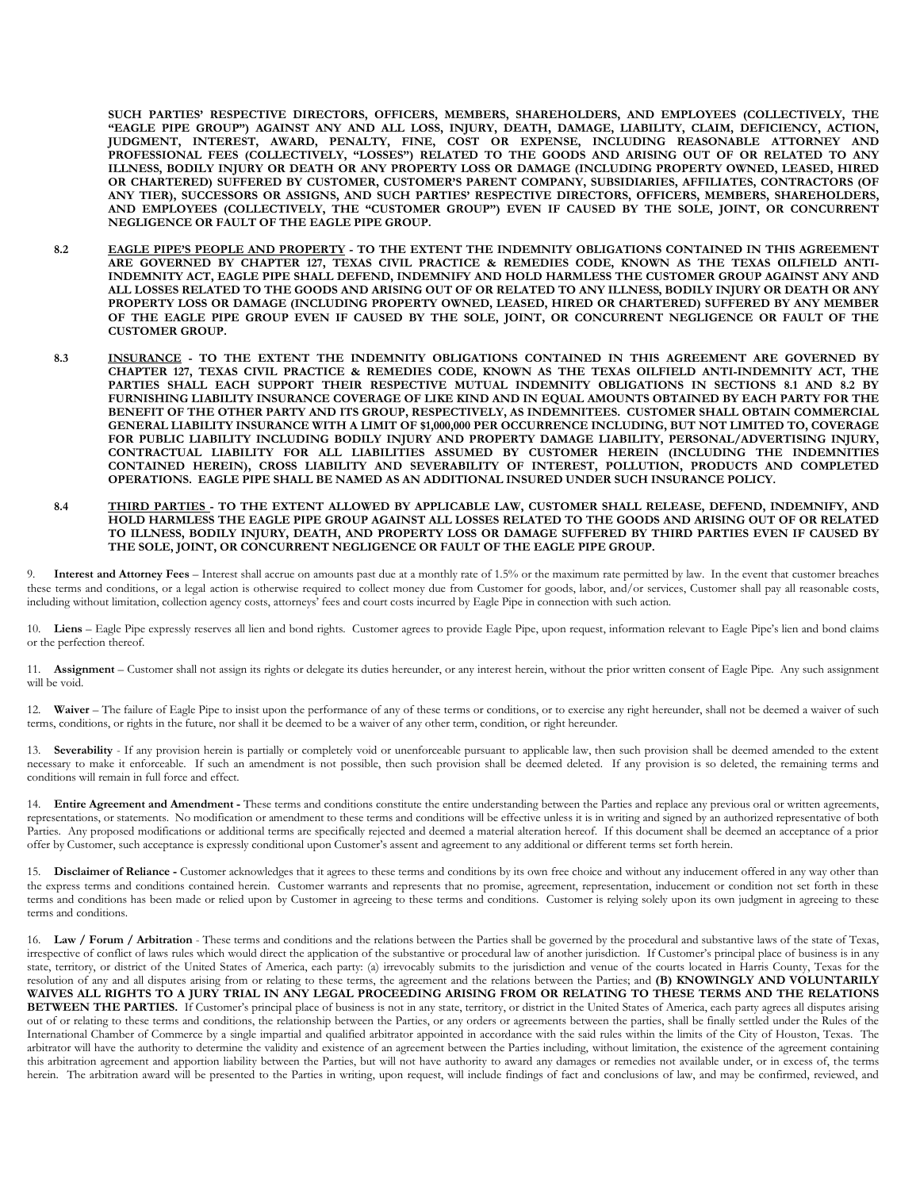**SUCH PARTIES' RESPECTIVE DIRECTORS, OFFICERS, MEMBERS, SHAREHOLDERS, AND EMPLOYEES (COLLECTIVELY, THE "EAGLE PIPE GROUP") AGAINST ANY AND ALL LOSS, INJURY, DEATH, DAMAGE, LIABILITY, CLAIM, DEFICIENCY, ACTION, JUDGMENT, INTEREST, AWARD, PENALTY, FINE, COST OR EXPENSE, INCLUDING REASONABLE ATTORNEY AND PROFESSIONAL FEES (COLLECTIVELY, "LOSSES") RELATED TO THE GOODS AND ARISING OUT OF OR RELATED TO ANY ILLNESS, BODILY INJURY OR DEATH OR ANY PROPERTY LOSS OR DAMAGE (INCLUDING PROPERTY OWNED, LEASED, HIRED OR CHARTERED) SUFFERED BY CUSTOMER, CUSTOMER'S PARENT COMPANY, SUBSIDIARIES, AFFILIATES, CONTRACTORS (OF ANY TIER), SUCCESSORS OR ASSIGNS, AND SUCH PARTIES' RESPECTIVE DIRECTORS, OFFICERS, MEMBERS, SHAREHOLDERS, AND EMPLOYEES (COLLECTIVELY, THE "CUSTOMER GROUP") EVEN IF CAUSED BY THE SOLE, JOINT, OR CONCURRENT NEGLIGENCE OR FAULT OF THE EAGLE PIPE GROUP.**

- **8.2 EAGLE PIPE'S PEOPLE AND PROPERTY - TO THE EXTENT THE INDEMNITY OBLIGATIONS CONTAINED IN THIS AGREEMENT ARE GOVERNED BY CHAPTER 127, TEXAS CIVIL PRACTICE & REMEDIES CODE, KNOWN AS THE TEXAS OILFIELD ANTI-INDEMNITY ACT, EAGLE PIPE SHALL DEFEND, INDEMNIFY AND HOLD HARMLESS THE CUSTOMER GROUP AGAINST ANY AND ALL LOSSES RELATED TO THE GOODS AND ARISING OUT OF OR RELATED TO ANY ILLNESS, BODILY INJURY OR DEATH OR ANY PROPERTY LOSS OR DAMAGE (INCLUDING PROPERTY OWNED, LEASED, HIRED OR CHARTERED) SUFFERED BY ANY MEMBER OF THE EAGLE PIPE GROUP EVEN IF CAUSED BY THE SOLE, JOINT, OR CONCURRENT NEGLIGENCE OR FAULT OF THE CUSTOMER GROUP.**
- **8.3 INSURANCE - TO THE EXTENT THE INDEMNITY OBLIGATIONS CONTAINED IN THIS AGREEMENT ARE GOVERNED BY CHAPTER 127, TEXAS CIVIL PRACTICE & REMEDIES CODE, KNOWN AS THE TEXAS OILFIELD ANTI-INDEMNITY ACT, THE PARTIES SHALL EACH SUPPORT THEIR RESPECTIVE MUTUAL INDEMNITY OBLIGATIONS IN SECTIONS 8.1 AND 8.2 BY FURNISHING LIABILITY INSURANCE COVERAGE OF LIKE KIND AND IN EQUAL AMOUNTS OBTAINED BY EACH PARTY FOR THE BENEFIT OF THE OTHER PARTY AND ITS GROUP, RESPECTIVELY, AS INDEMNITEES. CUSTOMER SHALL OBTAIN COMMERCIAL GENERAL LIABILITY INSURANCE WITH A LIMIT OF \$1,000,000 PER OCCURRENCE INCLUDING, BUT NOT LIMITED TO, COVERAGE FOR PUBLIC LIABILITY INCLUDING BODILY INJURY AND PROPERTY DAMAGE LIABILITY, PERSONAL/ADVERTISING INJURY, CONTRACTUAL LIABILITY FOR ALL LIABILITIES ASSUMED BY CUSTOMER HEREIN (INCLUDING THE INDEMNITIES CONTAINED HEREIN), CROSS LIABILITY AND SEVERABILITY OF INTEREST, POLLUTION, PRODUCTS AND COMPLETED OPERATIONS. EAGLE PIPE SHALL BE NAMED AS AN ADDITIONAL INSURED UNDER SUCH INSURANCE POLICY.**
- **8.4 THIRD PARTIES - TO THE EXTENT ALLOWED BY APPLICABLE LAW, CUSTOMER SHALL RELEASE, DEFEND, INDEMNIFY, AND HOLD HARMLESS THE EAGLE PIPE GROUP AGAINST ALL LOSSES RELATED TO THE GOODS AND ARISING OUT OF OR RELATED TO ILLNESS, BODILY INJURY, DEATH, AND PROPERTY LOSS OR DAMAGE SUFFERED BY THIRD PARTIES EVEN IF CAUSED BY THE SOLE, JOINT, OR CONCURRENT NEGLIGENCE OR FAULT OF THE EAGLE PIPE GROUP.**

9. **Interest and Attorney Fees** – Interest shall accrue on amounts past due at a monthly rate of 1.5% or the maximum rate permitted by law. In the event that customer breaches these terms and conditions, or a legal action is otherwise required to collect money due from Customer for goods, labor, and/or services, Customer shall pay all reasonable costs, including without limitation, collection agency costs, attorneys' fees and court costs incurred by Eagle Pipe in connection with such action.

10. **Liens** – Eagle Pipe expressly reserves all lien and bond rights. Customer agrees to provide Eagle Pipe, upon request, information relevant to Eagle Pipe's lien and bond claims or the perfection thereof.

11. **Assignment** – Customer shall not assign its rights or delegate its duties hereunder, or any interest herein, without the prior written consent of Eagle Pipe. Any such assignment will be void.

12. Waiver – The failure of Eagle Pipe to insist upon the performance of any of these terms or conditions, or to exercise any right hereunder, shall not be deemed a waiver of such terms, conditions, or rights in the future, nor shall it be deemed to be a waiver of any other term, condition, or right hereunder.

13. **Severability** - If any provision herein is partially or completely void or unenforceable pursuant to applicable law, then such provision shall be deemed amended to the extent necessary to make it enforceable. If such an amendment is not possible, then such provision shall be deemed deleted. If any provision is so deleted, the remaining terms and conditions will remain in full force and effect.

14. **Entire Agreement and Amendment -** These terms and conditions constitute the entire understanding between the Parties and replace any previous oral or written agreements, representations, or statements. No modification or amendment to these terms and conditions will be effective unless it is in writing and signed by an authorized representative of both Parties. Any proposed modifications or additional terms are specifically rejected and deemed a material alteration hereof. If this document shall be deemed an acceptance of a prior offer by Customer, such acceptance is expressly conditional upon Customer's assent and agreement to any additional or different terms set forth herein.

15. **Disclaimer of Reliance -** Customer acknowledges that it agrees to these terms and conditions by its own free choice and without any inducement offered in any way other than the express terms and conditions contained herein. Customer warrants and represents that no promise, agreement, representation, inducement or condition not set forth in these terms and conditions has been made or relied upon by Customer in agreeing to these terms and conditions. Customer is relying solely upon its own judgment in agreeing to these terms and conditions.

16. Law / Forum / Arbitration - These terms and conditions and the relations between the Parties shall be governed by the procedural and substantive laws of the state of Texas, irrespective of conflict of laws rules which would direct the application of the substantive or procedural law of another jurisdiction. If Customer's principal place of business is in any state, territory, or district of the United States of America, each party: (a) irrevocably submits to the jurisdiction and venue of the courts located in Harris County, Texas for the resolution of any and all disputes arising from or relating to these terms, the agreement and the relations between the Parties; and **(B) KNOWINGLY AND VOLUNTARILY WAIVES ALL RIGHTS TO A JURY TRIAL IN ANY LEGAL PROCEEDING ARISING FROM OR RELATING TO THESE TERMS AND THE RELATIONS**  BETWEEN THE PARTIES. If Customer's principal place of business is not in any state, territory, or district in the United States of America, each party agrees all disputes arising out of or relating to these terms and conditions, the relationship between the Parties, or any orders or agreements between the parties, shall be finally settled under the Rules of the International Chamber of Commerce by a single impartial and qualified arbitrator appointed in accordance with the said rules within the limits of the City of Houston, Texas. The arbitrator will have the authority to determine the validity and existence of an agreement between the Parties including, without limitation, the existence of the agreement containing this arbitration agreement and apportion liability between the Parties, but will not have authority to award any damages or remedies not available under, or in excess of, the terms herein. The arbitration award will be presented to the Parties in writing, upon request, will include findings of fact and conclusions of law, and may be confirmed, reviewed, and